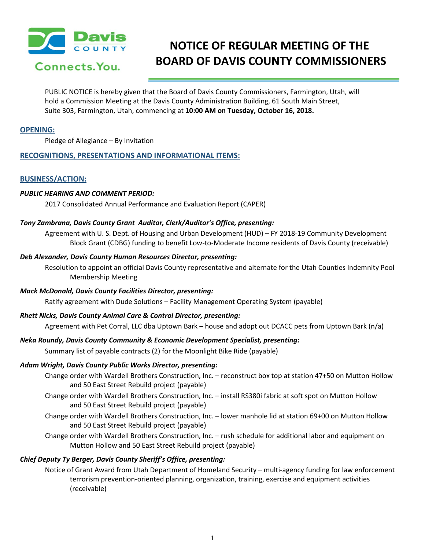

# **NOTICE OF REGULAR MEETING OF THE BOARD OF DAVIS COUNTY COMMISSIONERS**

PUBLIC NOTICE is hereby given that the Board of Davis County Commissioners, Farmington, Utah, will hold a Commission Meeting at the Davis County Administration Building, 61 South Main Street, Suite 303, Farmington, Utah, commencing at **10:00 AM on Tuesday, October 16, 2018.**

# **OPENING:**

Pledge of Allegiance – By Invitation

# **RECOGNITIONS, PRESENTATIONS AND INFORMATIONAL ITEMS:**

## **BUSINESS/ACTION:**

## *PUBLIC HEARING AND COMMENT PERIOD:*

2017 Consolidated Annual Performance and Evaluation Report (CAPER)

## *Tony Zambrana, Davis County Grant Auditor, Clerk/Auditor's Office, presenting:*

Agreement with U. S. Dept. of Housing and Urban Development (HUD) – FY 2018-19 Community Development Block Grant (CDBG) funding to benefit Low-to-Moderate Income residents of Davis County (receivable)

## *Deb Alexander, Davis County Human Resources Director, presenting:*

Resolution to appoint an official Davis County representative and alternate for the Utah Counties Indemnity Pool Membership Meeting

## *Mack McDonald, Davis County Facilities Director, presenting:*

Ratify agreement with Dude Solutions – Facility Management Operating System (payable)

## *Rhett Nicks, Davis County Animal Care & Control Director, presenting:*

Agreement with Pet Corral, LLC dba Uptown Bark – house and adopt out DCACC pets from Uptown Bark (n/a)

# *Neka Roundy, Davis County Community & Economic Development Specialist, presenting:*

Summary list of payable contracts (2) for the Moonlight Bike Ride (payable)

# *Adam Wright, Davis County Public Works Director, presenting:*

- Change order with Wardell Brothers Construction, Inc. reconstruct box top at station 47+50 on Mutton Hollow and 50 East Street Rebuild project (payable)
- Change order with Wardell Brothers Construction, Inc. install RS380i fabric at soft spot on Mutton Hollow and 50 East Street Rebuild project (payable)
- Change order with Wardell Brothers Construction, Inc. lower manhole lid at station 69+00 on Mutton Hollow and 50 East Street Rebuild project (payable)
- Change order with Wardell Brothers Construction, Inc. rush schedule for additional labor and equipment on Mutton Hollow and 50 East Street Rebuild project (payable)

# *Chief Deputy Ty Berger, Davis County Sheriff's Office, presenting:*

Notice of Grant Award from Utah Department of Homeland Security – multi-agency funding for law enforcement terrorism prevention-oriented planning, organization, training, exercise and equipment activities (receivable)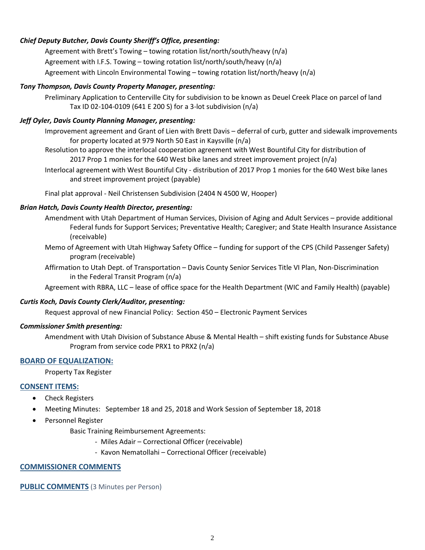# *Chief Deputy Butcher, Davis County Sheriff's Office, presenting:*

Agreement with Brett's Towing – towing rotation list/north/south/heavy (n/a) Agreement with I.F.S. Towing – towing rotation list/north/south/heavy (n/a) Agreement with Lincoln Environmental Towing – towing rotation list/north/heavy (n/a)

## *Tony Thompson, Davis County Property Manager, presenting:*

Preliminary Application to Centerville City for subdivision to be known as Deuel Creek Place on parcel of land Tax ID 02-104-0109 (641 E 200 S) for a 3-lot subdivision (n/a)

# *Jeff Oyler, Davis County Planning Manager, presenting:*

Improvement agreement and Grant of Lien with Brett Davis – deferral of curb, gutter and sidewalk improvements for property located at 979 North 50 East in Kaysville (n/a)

- Resolution to approve the interlocal cooperation agreement with West Bountiful City for distribution of 2017 Prop 1 monies for the 640 West bike lanes and street improvement project (n/a)
- Interlocal agreement with West Bountiful City distribution of 2017 Prop 1 monies for the 640 West bike lanes and street improvement project (payable)

Final plat approval - Neil Christensen Subdivision (2404 N 4500 W, Hooper)

## *Brian Hatch, Davis County Health Director, presenting:*

- Amendment with Utah Department of Human Services, Division of Aging and Adult Services provide additional Federal funds for Support Services; Preventative Health; Caregiver; and State Health Insurance Assistance (receivable)
- Memo of Agreement with Utah Highway Safety Office funding for support of the CPS (Child Passenger Safety) program (receivable)
- Affirmation to Utah Dept. of Transportation Davis County Senior Services Title VI Plan, Non-Discrimination in the Federal Transit Program (n/a)

Agreement with RBRA, LLC – lease of office space for the Health Department (WIC and Family Health) (payable)

# *Curtis Koch, Davis County Clerk/Auditor, presenting:*

Request approval of new Financial Policy: Section 450 – Electronic Payment Services

## *Commissioner Smith presenting:*

Amendment with Utah Division of Substance Abuse & Mental Health – shift existing funds for Substance Abuse Program from service code PRX1 to PRX2 (n/a)

# **BOARD OF EQUALIZATION:**

Property Tax Register

## **CONSENT ITEMS:**

- Check Registers
- Meeting Minutes: September 18 and 25, 2018 and Work Session of September 18, 2018
- Personnel Register

Basic Training Reimbursement Agreements:

- Miles Adair Correctional Officer (receivable)
- Kavon Nematollahi Correctional Officer (receivable)

# **COMMISSIONER COMMENTS**

**PUBLIC COMMENTS** (3 Minutes per Person)